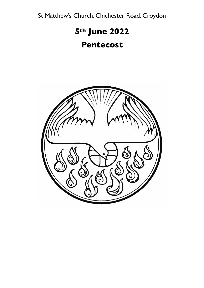St Matthew's Church, Chichester Road, Croydon

# **5th June 2022**

# **Pentecost**

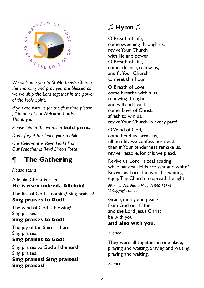

*We welcome you to St Matthew's Church this morning and pray you are blessed as we worship the Lord together in the power of the Holy Spirit.*

*If you are with us for the first time please fill in one of our Welcome Cards. Thank you.* 

*Please join in the words in* **bold print.** 

*Don't forget to silence your mobile!*

*Our Celebrant is Revd Linda Fox Our Preacher is Revd Simon Foster.*

# **¶ The Gathering**

### *Please stand*

Alleluia. Christ is risen.

### **He is risen indeed. Alleluia!**

The fire of God is coming! Sing praises! **Sing praises to God!**

The wind of God is blowing! Sing praises!

### **Sing praises to God!**

The joy of the Spirit is here! Sing praises!

### **Sing praises to God!**

Sing praises to God all the earth! Sing praises!

**Sing praises! Sing praises! Sing praises!**

# 㽈 **Hymn** 㽈

O Breath of Life, come sweeping through us, revive Your Church with life and power; O Breath of Life, come, cleanse, renew us, and fit Your Church to meet this hour.

O Breath of Love, come breathe within us, renewing thought and will and heart; come, Love of Christ, afresh to win us, revive Your Church in every part!

O Wind of God, come bend us, break us, till humbly we confess our need; then in Your tenderness remake us, revive, restore, for this we plead.

Revive us, Lord! Is zeal abating while harvest fields are vast and white? Revive, us Lord, the world is waiting, equip Thy Church to spread the light.

*Elizabeth Ann Porter Head (1850-1936) © Copyright control*

Grace, mercy and peace from God our Father and the Lord Jesus Christ be with you **and also with you.**

*Silence* 

They were all together in one place, praying and waiting, praying and waiting, praying and waiting.

*Silence*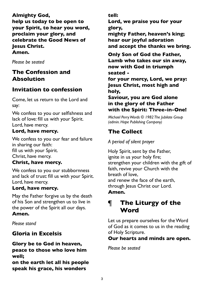**Almighty God, help us today to be open to your Spirit, to hear you word, proclaim your glory, and celebrate the Good News of Jesus Christ. Amen.**

*Please be seated*

## **The Confession and Absolution**

## **Invitation to confession**

Come, let us return to the Lord and say:

We confess to you our selfishness and lack of love: fill us with your Spirit. Lord, have mercy.

#### **Lord, have mercy.**

We confess to you our fear and failure in sharing our faith: fill us with your Spirit. Christ, have mercy.

#### **Christ, have mercy.**

We confess to you our stubbornness and lack of trust: fill us with your Spirit. Lord, have mercy.

#### **Lord, have mercy.**

May the Father forgive us by the death of his Son and strengthen us to live in the power of the Spirit all our days.

#### **Amen.**

*Please stand* 

### **Gloria in Excelsis**

**Glory be to God in heaven, peace to those who love him well;**

**on the earth let all his people speak his grace, his wonders** 

**tell:**

**Lord, we praise you for your glory,**

**mighty Father, heaven's king; hear our joyful adoration and accept the thanks we bring.**

**Only Son of God the Father, Lamb who takes our sin away, now with God in triumph seated -**

**for your mercy, Lord, we pray: Jesus Christ, most high and holy,**

**Saviour, you are God alone in the glory of the Father with the Spirit: Three-in-One!**

*Michael Perry Words © 1982 The Jubilate Group (admin. Hope Publishing Company)*

## **The Collect**

*A period of silent prayer*

Holy Spirit, sent by the Father, ignite in us your holy fire; strengthen your children with the gift of faith, revive your Church with the breath of love, and renew the face of the earth, through Jesus Christ our Lord. **Amen.**

## **¶ The Liturgy of the Word**

Let us prepare ourselves for the Word of God as it comes to us in the reading of Holy Scripture.

### **Our hearts and minds are open.**

*Please be seated*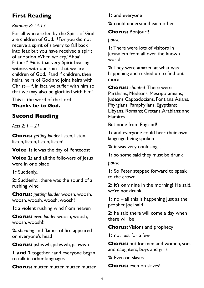## **First Reading**

#### *Romans 8: 14-17*

For all who are led by the Spirit of God are children of God. 15For you did not receive a spirit of slavery to fall back into fear, but you have received a spirit of adoption. When we cry, 'Abba! Father!' <sup>16</sup>it is that very Spirit bearing witness with our spirit that we are children of God, 17and if children, then heirs, heirs of God and joint heirs with Christ—if, in fact, we suffer with him so that we may also be glorified with him.'

This is the word of the Lord.

#### **Thanks be to God.**

## **Second Reading**

*Acts 2: 1 – 21*

**Chorus:** *getting louder* listen, listen, listen, listen, listen, listen!

**Voice 1:** It was the day of Pentecost

**Voice 2:** and all the followers of Jesus were in one place

**1:** Suddenly...

**2:** Suddenly... there was the sound of a rushing wind

**Chorus:** *getting louder* woosh, woosh, woosh, woosh, woosh, woosh!

**1:** a violent rushing wind from heaven

**Chorus:** *even louder* woosh, woosh, woosh, woosh!!

**2:** *shouting* and flames of fire appeared on everyone's head

**Chorus:** pshwwh, pshwwh, pshwwh

**1 and 2** together : and everyone began to talk in other languages ---

**Chorus:** mutter, mutter, mutter, mutter

**1:** and everyone

**2:** could understand each other

### **Chorus:** Bonjour!!

*pause*

**1:** There were lots of visitors in Jerusalem from all over the known world

**2:** They were amazed at what was happening and rushed up to find out more

**Chorus:** *chanted* There were Parthians, Medeans, Mesopotamians; Judeans Cappadocians, Pontians; Asians, Phyrgians; Pamphylians, Egyptians; Libyans, Romans; Cretans, Arabians; and Elamites...

But none from England!

**1:** and everyone could hear their own language being spoken

**2:** it was very confusing...

**1:** so some said they must be drunk

*pause*

**1:** So Peter stepped forward to speak to the crowd

**2:** it's only nine in the morning! He said, we're not drunk

**1:** no – all this is happening just as the prophet Joel said

**2:** he said there will come a day when there will be

**Chorus:** Visions and prophecy

**1:** not just for a few

**Chorus:** but for men and women, sons and daughters, boys and girls

**2:** Even on slaves

**Chorus:** even on slaves!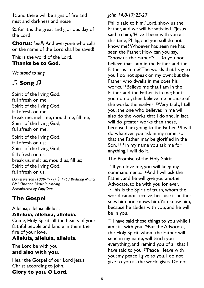**1:** and there will be signs of fire and mist and darkness and noise

**2:** for it is the great and glorious day of the Lord

**Chorus:** *loudly* And everyone who calls on the name of the Lord shall be saved!

This is the word of the Lord.

### **Thanks be to God.**

*We stand to sing*

# 㽈 **Song** 㽈

Spirit of the living God, fall afresh on me; Spirit of the living God, fall afresh on me; break me, melt me, mould me, fill me; Spirit of the living God, fall afresh on me.

Spirit of the living God, fall afresh on us; Spirit of the living God, fall afresh on us; break us, melt us, mould us, fill us; Spirit of the living God, fall afresh on us.

*Daniel Iverson (1890-1977) © 1963 Birdwing Music/ EMI Christian Music Publishing. Administered by CopyCare*

# **The Gospel**

Alleluia, alleluia alleluia. **Alleluia, alleluia, alleluia.**  Come, Holy Spirit, fill the hearts of your faithful people and kindle in them the fire of your love.

### **Alleluia, alleluia, alleluia.**

The Lord be with you **and also with you.**

Hear the Gospel of our Lord Jesus Christ according to John. **Glory to you, O Lord.**

### *John 14.8-17; 25-27*

Philip said to him, 'Lord, show us the Father, and we will be satisfied.' <sup>9</sup>lesus said to him, 'Have I been with you all this time, Philip, and you still do not know me? Whoever has seen me has seen the Father. How can you say, "Show us the Father"? 10Do you not believe that I am in the Father and the Father is in me? The words that I say to you I do not speak on my own; but the Father who dwells in me does his works. 11Believe me that I am in the Father and the Father is in me; but if you do not, then believe me because of the works themselves. 12Very truly, I tell you, the one who believes in me will also do the works that I do and, in fact, will do greater works than these, because I am going to the Father. 13I will do whatever you ask in my name, so that the Father may be glorified in the Son. 14If in my name you ask me for anything, I will do it.

The Promise of the Holy Spirit

<sup>15'</sup>If you love me, you will keep my commandments. 16And I will ask the Father, and he will give you another Advocate, to be with you for ever. <sup>17</sup>This is the Spirit of truth, whom the world cannot receive, because it neither sees him nor knows him. You know him, because he abides with you, and he will be in you.

25<sup>'</sup>l have said these things to you while I am still with you. 26But the Advocate, the Holy Spirit, whom the Father will send in my name, will teach you everything, and remind you of all that I have said to you. 27Peace I leave with you; my peace I give to you. I do not give to you as the world gives. Do not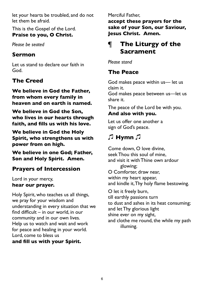let your hearts be troubled, and do not let them be afraid.

This is the Gospel of the Lord. **Praise to you, O Christ.**

*Please be seated* 

## **Sermon**

Let us stand to declare our faith in God.

## **The Creed**

**We believe in God the Father, from whom every family in heaven and on earth is named.**

**We believe in God the Son, who lives in our hearts through faith, and fills us with his love.**

**We believe in God the Holy Spirit, who strengthens us with power from on high.**

**We believe in one God; Father, Son and Holy Spirit. Amen.** 

## **Prayers of Intercession**

Lord in your mercy, **hear our prayer.**

Holy Spirit, who teaches us all things, we pray for your wisdom and understanding in every situation that we find difficult – in our world, in our community and in our own lives. Help us to watch and wait and work for peace and healing in your world. Lord, come to bless us **and fill us with your Spirit.**

Merciful Father,

**accept these prayers for the sake of your Son, our Saviour, Jesus Christ. Amen.**

## **¶ The Liturgy of the Sacrament**

*Please stand* 

## **The Peace**

God makes peace within us— let us claim it.

God makes peace between us—let us share it.

The peace of the Lord be with you.

### **And also with you.**

Let us offer one another a sign of God's peace.

# 㽈 **Hymn** 㽈

Come down, O love divine, seek Thou this soul of mine, and visit it with Thine own ardour glowing; O Comforter, draw near, within my heart appear, and kindle it, Thy holy flame bestowing. O let it freely burn, till earthly passions turn to dust and ashes in its heat consuming; and let Thy glorious light shine ever on my sight,

and clothe me round, the while my path illuming.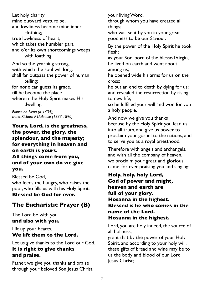Let holy charity mine outward vesture be, and lowliness become mine inner clothing; true lowliness of heart, which takes the humbler part, and o'er its own shortcomings weeps with loathing.

And so the yearning strong, with which the soul will long, shall far outpass the power of human telling; for none can guess its grace, till he become the place wherein the Holy Spirit makes His dwelling.

*Bianco da Siena (d. 1434); trans. Richard F. Littledale (1833-1890)*

**Yours, Lord, is the greatness, the power, the glory, the splendour, and the majesty; for everything in heaven and on earth is yours. All things come from you, and of your own do we give you.**

Blessed be God, who feeds the hungry, who raises the poor, who fills us with his Holy Spirit. **Blessed be God for ever.**

## **The Eucharistic Prayer (B)**

The Lord be with you **and also with you.**

Lift up your hearts. **We lift them to the Lord.**

Let us give thanks to the Lord our God. **It is right to give thanks and praise.**

Father, we give you thanks and praise through your beloved Son Jesus Christ, your living Word,

through whom you have created all things;

who was sent by you in your great goodness to be our Saviour.

By the power of the Holy Spirit he took flesh;

as your Son, born of the blessed Virgin, he lived on earth and went about among us;

he opened wide his arms for us on the cross;

he put an end to death by dying for us; and revealed the resurrection by rising to new life;

so he fulfilled your will and won for you a holy people.

And now we give you thanks because by the Holy Spirit you lead us into all truth, and give us power to proclaim your gospel to the nations, and to serve you as a royal priesthood.

Therefore with angels and archangels, and with all the company of heaven, we proclaim your great and glorious name, for ever praising you and singing:

**Holy, holy, holy Lord, God of power and might, heaven and earth are full of your glory. Hosanna in the highest. Blessed is he who comes in the name of the Lord. Hosanna in the highest.**

Lord, you are holy indeed, the source of all holiness;

grant that by the power of your Holy Spirit, and according to your holy will, these gifts of bread and wine may be to us the body and blood of our Lord lesus Christ;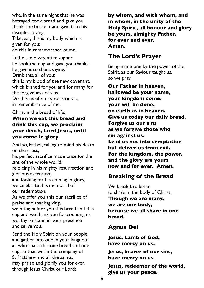who, in the same night that he was betrayed, took bread and gave you thanks; he broke it and gave it to his disciples, saying:

Take, eat; this is my body which is given for you;

do this in remembrance of me.

In the same way, after supper he took the cup and gave you thanks; he gave it to them, saying: Drink this, all of you; this is my blood of the new covenant, which is shed for you and for many for the forgiveness of sins. Do this, as often as you drink it, in remembrance of me.

Christ is the bread of life:

#### **When we eat this bread and drink this cup, we proclaim your death, Lord Jesus, until you come in glory.**

And so, Father, calling to mind his death on the cross,

his perfect sacrifice made once for the sins of the whole world;

rejoicing in his mighty resurrection and glorious ascension,

and looking for his coming in glory, we celebrate this memorial of our redemption.

As we offer you this our sacrifice of praise and thanksgiving,

we bring before you this bread and this cup and we thank you for counting us worthy to stand in your presence and serve you.

Send the Holy Spirit on your people and gather into one in your kingdom all who share this one bread and one cup, so that we, in the company of St Matthew and all the saints, may praise and glorify you for ever, through Jesus Christ our Lord;

**by whom, and with whom, and in whom, in the unity of the Holy Spirit, all honour and glory be yours, almighty Father, for ever and ever. Amen.**

#### **The Lord's Prayer**

Being made one by the power of the Spirit, as our Saviour taught us, so we pray

**Our Father in heaven, hallowed be your name, your kingdom come, your will be done, on earth as in heaven. Give us today our daily bread. Forgive us our sins as we forgive those who sin against us. Lead us not into temptation but deliver us from evil. For the kingdom, the power, and the glory are yours now and for ever. Amen.** 

## **Breaking of the Bread**

We break this bread to share in the body of Christ. **Though we are many, we are one body, because we all share in one bread.**

### **Agnus Dei**

**Jesus, Lamb of God, have mercy on us.**

**Jesus, bearer of our sins, have mercy on us.**

**Jesus, redeemer of the world, give us your peace.**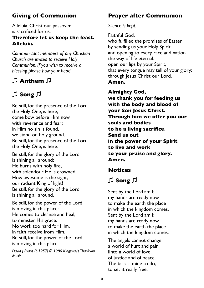## **Giving of Communion**

Alleluia. Christ our passover is sacrificed for us.

### **Therefore let us keep the feast. Alleluia.**

*Communicant members of any Christian Church are invited to receive Holy Communion. If you wish to receive a blessing please bow your head.*

# 㽈 **Anthem** 㽈

# 㽈 **Song** 㽈

Be still, for the presence of the Lord, the Holy One, is here; come bow before Him now with reverence and fear: in Him no sin is found, we stand on holy ground. Be still, for the presence of the Lord, the Holy One, is here.

Be still, for the glory of the Lord is shining all around; He burns with holy fire, with splendour He is crowned. How awesome is the sight, our radiant King of light! Be still, for the glory of the Lord is shining all around.

Be still, for the power of the Lord is moving in this place: He comes to cleanse and heal, to minister His grace. No work too hard for Him, in faith receive from Him. Be still, for the power of the Lord is moving in this place.

*David J Evans (b.1957) © 1986 Kingsway's Thankyou Music*

## **Prayer after Communion**

*Silence is kept.*

Faithful God, who fulfilled the promises of Easter by sending us your Holy Spirit and opening to every race and nation the way of life eternal: open our lips by your Spirit, that every tongue may tell of your glory; through Jesus Christ our Lord. **Amen.**

**Almighty God, we thank you for feeding us with the body and blood of your Son Jesus Christ. Through him we offer you our souls and bodies to be a living sacrifice. Send us out in the power of your Spirit to live and work to your praise and glory. Amen.**

## **Notices**

# 㽈 **Song** 㽈

Sent by the Lord am I; my hands are ready now to make the earth the place in which the kingdom comes. Sent by the Lord am I; my hands are ready now to make the earth the place in which the kingdom comes.

The angels cannot change a world of hurt and pain ilnto a world of love, of justice and of peace. The task is mine to do, to set it really free.